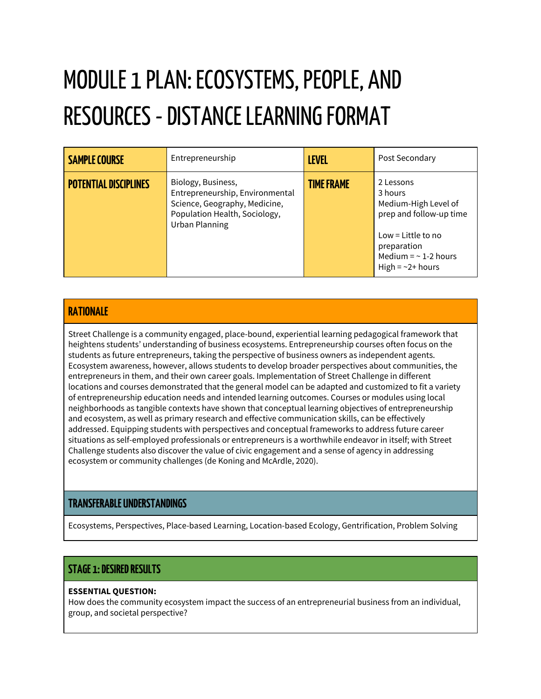# MODULE 1 PLAN: ECOSYSTEMS, PEOPLE, AND RESOURCES - DISTANCE LEARNING FORMAT

| <b>SAMPLE COURSE</b>         | Entrepreneurship                                                                                                                                 | <b>LEVEL</b>      | Post Secondary                                                                                                                                                      |
|------------------------------|--------------------------------------------------------------------------------------------------------------------------------------------------|-------------------|---------------------------------------------------------------------------------------------------------------------------------------------------------------------|
| <b>POTENTIAL DISCIPLINES</b> | Biology, Business,<br>Entrepreneurship, Environmental<br>Science, Geography, Medicine,<br>Population Health, Sociology,<br><b>Urban Planning</b> | <b>TIME FRAME</b> | 2 Lessons<br>3 hours<br>Medium-High Level of<br>prep and follow-up time<br>Low = Little to no<br>preparation<br>Medium = $\sim$ 1-2 hours<br>High = $\sim$ 2+ hours |

#### **RATIONALE**

Street Challenge is a community engaged, place-bound, experiential learning pedagogical framework that heightens students' understanding of business ecosystems. Entrepreneurship courses often focus on the students as future entrepreneurs, taking the perspective of business owners as independent agents. Ecosystem awareness, however, allows students to develop broader perspectives about communities, the entrepreneurs in them, and their own career goals. Implementation of Street Challenge in different locations and courses demonstrated that the general model can be adapted and customized to fit a variety of entrepreneurship education needs and intended learning outcomes. Courses or modules using local neighborhoods as tangible contexts have shown that conceptual learning objectives of entrepreneurship and ecosystem, as well as primary research and effective communication skills, can be effectively addressed. Equipping students with perspectives and conceptual frameworks to address future career situations as self-employed professionals or entrepreneurs is a worthwhile endeavor in itself; with Street Challenge students also discover the value of civic engagement and a sense of agency in addressing ecosystem or community challenges (de Koning and McArdle, 2020).

#### **TRANSFERABLE UNDERSTANDINGS**

Ecosystems, Perspectives, Place-based Learning, Location-based Ecology, Gentrification, Problem Solving

#### **STAGE 1:DESIREDRESULTS**

#### **ESSENTIAL QUESTION:**

How does the community ecosystem impact the success of an entrepreneurial business from an individual, group, and societal perspective?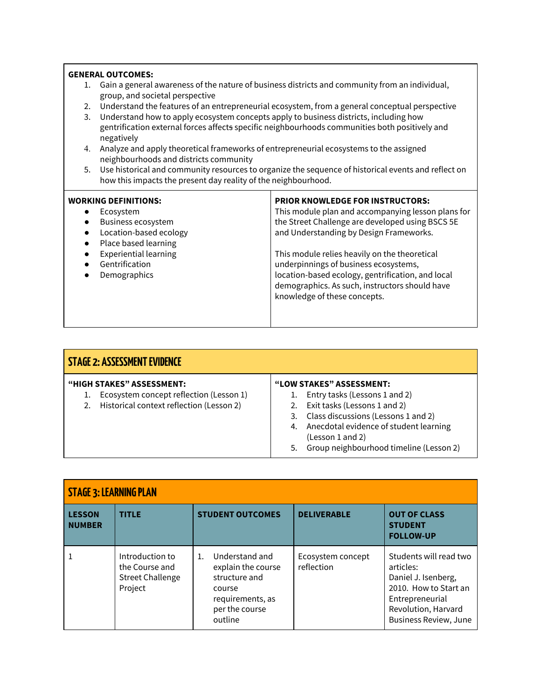|           | <b>GENERAL OUTCOMES:</b>                                                                                                                                                                              |                                                                                                                                     |  |  |
|-----------|-------------------------------------------------------------------------------------------------------------------------------------------------------------------------------------------------------|-------------------------------------------------------------------------------------------------------------------------------------|--|--|
| 1.        | Gain a general awareness of the nature of business districts and community from an individual,<br>group, and societal perspective                                                                     |                                                                                                                                     |  |  |
| 2.        |                                                                                                                                                                                                       | Understand the features of an entrepreneurial ecosystem, from a general conceptual perspective                                      |  |  |
| 3.        | Understand how to apply ecosystem concepts apply to business districts, including how<br>gentrification external forces affects specific neighbourhoods communities both positively and<br>negatively |                                                                                                                                     |  |  |
| 4.        | Analyze and apply theoretical frameworks of entrepreneurial ecosystems to the assigned<br>neighbourhoods and districts community                                                                      |                                                                                                                                     |  |  |
| 5.        | Use historical and community resources to organize the sequence of historical events and reflect on<br>how this impacts the present day reality of the neighbourhood.                                 |                                                                                                                                     |  |  |
|           | <b>WORKING DEFINITIONS:</b>                                                                                                                                                                           | <b>PRIOR KNOWLEDGE FOR INSTRUCTORS:</b>                                                                                             |  |  |
| $\bullet$ | Ecosystem                                                                                                                                                                                             | This module plan and accompanying lesson plans for                                                                                  |  |  |
|           | Business ecosystem                                                                                                                                                                                    | the Street Challenge are developed using BSCS 5E                                                                                    |  |  |
|           | Location-based ecology<br>Place based learning                                                                                                                                                        | and Understanding by Design Frameworks.                                                                                             |  |  |
|           | <b>Experiential learning</b><br>Gentrification                                                                                                                                                        | This module relies heavily on the theoretical<br>underpinnings of business ecosystems,                                              |  |  |
|           | Demographics                                                                                                                                                                                          | location-based ecology, gentrification, and local<br>demographics. As such, instructors should have<br>knowledge of these concepts. |  |  |
|           |                                                                                                                                                                                                       |                                                                                                                                     |  |  |

| STAGE 2: ASSESSMENT EVIDENCE |                                                                                                                         |                                                                                                                                                                                                                                                       |  |
|------------------------------|-------------------------------------------------------------------------------------------------------------------------|-------------------------------------------------------------------------------------------------------------------------------------------------------------------------------------------------------------------------------------------------------|--|
|                              | <b>"HIGH STAKES" ASSESSMENT:</b><br>Ecosystem concept reflection (Lesson 1)<br>Historical context reflection (Lesson 2) | "LOW STAKES" ASSESSMENT:<br>Entry tasks (Lessons 1 and 2)<br>2. Exit tasks (Lessons 1 and 2)<br>3. Class discussions (Lessons 1 and 2)<br>4. Anecdotal evidence of student learning<br>(Lesson 1 and 2)<br>5. Group neighbourhood timeline (Lesson 2) |  |

| <b>STAGE 3: LEARNING PLAN</b>  |                                                                         |                                                                                                                        |                                 |                                                                                                                                                               |
|--------------------------------|-------------------------------------------------------------------------|------------------------------------------------------------------------------------------------------------------------|---------------------------------|---------------------------------------------------------------------------------------------------------------------------------------------------------------|
| <b>LESSON</b><br><b>NUMBER</b> | <b>TITLE</b>                                                            | <b>STUDENT OUTCOMES</b>                                                                                                | <b>DELIVERABLE</b>              | <b>OUT OF CLASS</b><br><b>STUDENT</b><br><b>FOLLOW-UP</b>                                                                                                     |
|                                | Introduction to<br>the Course and<br><b>Street Challenge</b><br>Project | Understand and<br>1.<br>explain the course<br>structure and<br>course<br>requirements, as<br>per the course<br>outline | Ecosystem concept<br>reflection | Students will read two<br>articles:<br>Daniel J. Isenberg,<br>2010. How to Start an<br>Entrepreneurial<br>Revolution, Harvard<br><b>Business Review, June</b> |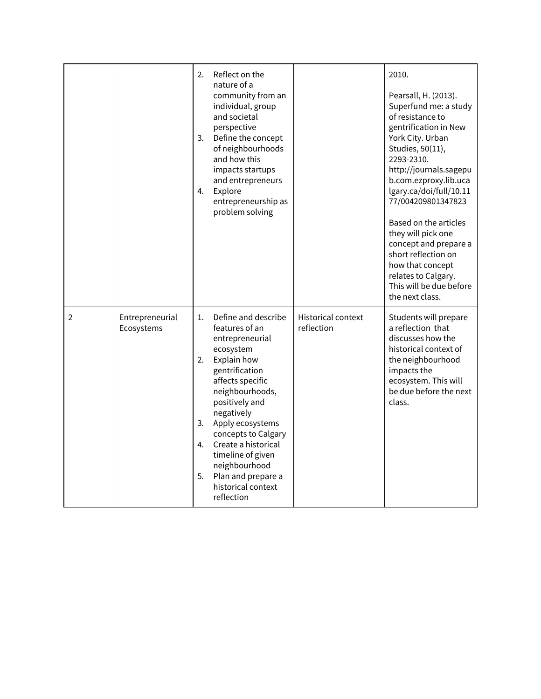|                |                               | 2.<br>3.<br>4.                         | Reflect on the<br>nature of a<br>community from an<br>individual, group<br>and societal<br>perspective<br>Define the concept<br>of neighbourhoods<br>and how this<br>impacts startups<br>and entrepreneurs<br>Explore<br>entrepreneurship as<br>problem solving                                                                                 |                                         | 2010.<br>Pearsall, H. (2013).<br>Superfund me: a study<br>of resistance to<br>gentrification in New<br>York City. Urban<br>Studies, 50(11),<br>2293-2310.<br>http://journals.sagepu<br>b.com.ezproxy.lib.uca<br>lgary.ca/doi/full/10.11<br>77/004209801347823<br>Based on the articles<br>they will pick one<br>concept and prepare a<br>short reflection on<br>how that concept<br>relates to Calgary.<br>This will be due before<br>the next class. |
|----------------|-------------------------------|----------------------------------------|-------------------------------------------------------------------------------------------------------------------------------------------------------------------------------------------------------------------------------------------------------------------------------------------------------------------------------------------------|-----------------------------------------|-------------------------------------------------------------------------------------------------------------------------------------------------------------------------------------------------------------------------------------------------------------------------------------------------------------------------------------------------------------------------------------------------------------------------------------------------------|
| $\overline{2}$ | Entrepreneurial<br>Ecosystems | $\mathbf{1}$ .<br>2.<br>3.<br>4.<br>5. | Define and describe<br>features of an<br>entrepreneurial<br>ecosystem<br>Explain how<br>gentrification<br>affects specific<br>neighbourhoods,<br>positively and<br>negatively<br>Apply ecosystems<br>concepts to Calgary<br>Create a historical<br>timeline of given<br>neighbourhood<br>Plan and prepare a<br>historical context<br>reflection | <b>Historical context</b><br>reflection | Students will prepare<br>a reflection that<br>discusses how the<br>historical context of<br>the neighbourhood<br>impacts the<br>ecosystem. This will<br>be due before the next<br>class.                                                                                                                                                                                                                                                              |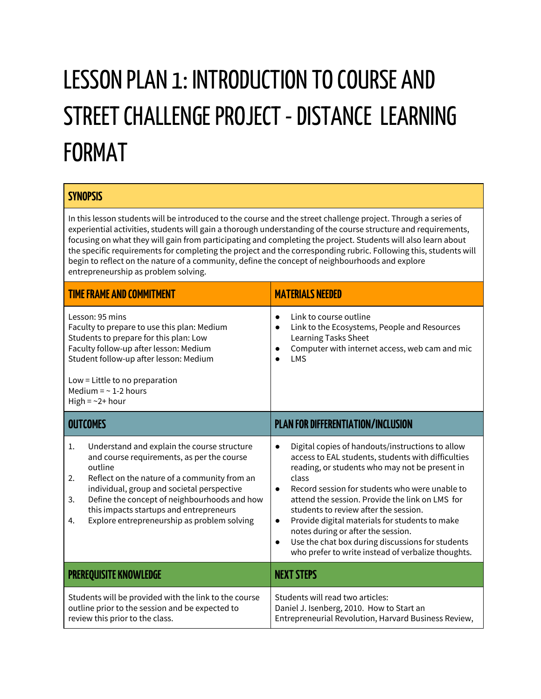# LESSON PLAN 1: INTRODUCTION TO COURSE AND STREET CHALLENGE PROJECT - DISTANCE LEARNING FORMAT

#### **SYNOPSIS**

In this lesson students will be introduced to the course and the street challenge project. Through a series of experiential activities, students will gain a thorough understanding of the course structure and requirements, focusing on what they will gain from participating and completing the project. Students will also learn about the specific requirements for completing the project and the corresponding rubric. Following this, students will begin to reflect on the nature of a community, define the concept of neighbourhoods and explore entrepreneurship as problem solving.

| <b>TIME FRAME AND COMMITMENT</b>                                                                                                                                                                                                                                                                                                                                     | <b>MATERIALS NEEDED</b>                                                                                                                                                                                                                                                                                                                                                                                                                                                                                                                                               |
|----------------------------------------------------------------------------------------------------------------------------------------------------------------------------------------------------------------------------------------------------------------------------------------------------------------------------------------------------------------------|-----------------------------------------------------------------------------------------------------------------------------------------------------------------------------------------------------------------------------------------------------------------------------------------------------------------------------------------------------------------------------------------------------------------------------------------------------------------------------------------------------------------------------------------------------------------------|
| Lesson: 95 mins<br>Faculty to prepare to use this plan: Medium<br>Students to prepare for this plan: Low<br>Faculty follow-up after lesson: Medium<br>Student follow-up after lesson: Medium<br>Low = Little to no preparation<br>Medium = $\sim$ 1-2 hours<br>High = $\sim$ 2+ hour                                                                                 | Link to course outline<br>$\bullet$<br>Link to the Ecosystems, People and Resources<br>$\bullet$<br><b>Learning Tasks Sheet</b><br>Computer with internet access, web cam and mic<br>$\bullet$<br><b>LMS</b>                                                                                                                                                                                                                                                                                                                                                          |
| <b>OUTCOMES</b>                                                                                                                                                                                                                                                                                                                                                      | <b>PLAN FOR DIFFERENTIATION/INCLUSION</b>                                                                                                                                                                                                                                                                                                                                                                                                                                                                                                                             |
| Understand and explain the course structure<br>1.<br>and course requirements, as per the course<br>outline<br>Reflect on the nature of a community from an<br>2.<br>individual, group and societal perspective<br>Define the concept of neighbourhoods and how<br>3.<br>this impacts startups and entrepreneurs<br>Explore entrepreneurship as problem solving<br>4. | Digital copies of handouts/instructions to allow<br>$\bullet$<br>access to EAL students, students with difficulties<br>reading, or students who may not be present in<br>class<br>Record session for students who were unable to<br>$\bullet$<br>attend the session. Provide the link on LMS for<br>students to review after the session.<br>Provide digital materials for students to make<br>$\bullet$<br>notes during or after the session.<br>Use the chat box during discussions for students<br>$\bullet$<br>who prefer to write instead of verbalize thoughts. |
| <b>PREREQUISITE KNOWLEDGE</b>                                                                                                                                                                                                                                                                                                                                        | <b>NEXT STEPS</b>                                                                                                                                                                                                                                                                                                                                                                                                                                                                                                                                                     |
| Students will be provided with the link to the course<br>outline prior to the session and be expected to<br>review this prior to the class.                                                                                                                                                                                                                          | Students will read two articles:<br>Daniel J. Isenberg, 2010. How to Start an<br>Entrepreneurial Revolution, Harvard Business Review,                                                                                                                                                                                                                                                                                                                                                                                                                                 |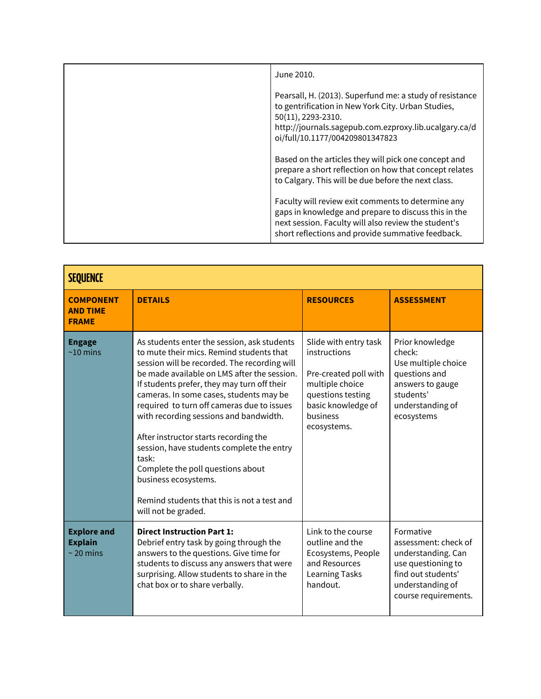| June 2010.                                                                                                                                                                                                                       |
|----------------------------------------------------------------------------------------------------------------------------------------------------------------------------------------------------------------------------------|
| Pearsall, H. (2013). Superfund me: a study of resistance<br>to gentrification in New York City. Urban Studies,<br>50(11), 2293-2310.<br>http://journals.sagepub.com.ezproxy.lib.ucalgary.ca/d<br>oi/full/10.1177/004209801347823 |
| Based on the articles they will pick one concept and<br>prepare a short reflection on how that concept relates<br>to Calgary. This will be due before the next class.                                                            |
| Faculty will review exit comments to determine any<br>gaps in knowledge and prepare to discuss this in the<br>next session. Faculty will also review the student's<br>short reflections and provide summative feedback.          |

| <b>SEQUENCE</b>                                        |                                                                                                                                                                                                                                                                                                                                                                                                                                                                                                                                                                                                            |                                                                                                                                                         |                                                                                                                                                 |
|--------------------------------------------------------|------------------------------------------------------------------------------------------------------------------------------------------------------------------------------------------------------------------------------------------------------------------------------------------------------------------------------------------------------------------------------------------------------------------------------------------------------------------------------------------------------------------------------------------------------------------------------------------------------------|---------------------------------------------------------------------------------------------------------------------------------------------------------|-------------------------------------------------------------------------------------------------------------------------------------------------|
| <b>COMPONENT</b><br><b>AND TIME</b><br><b>FRAME</b>    | <b>DETAILS</b>                                                                                                                                                                                                                                                                                                                                                                                                                                                                                                                                                                                             | <b>RESOURCES</b>                                                                                                                                        | <b>ASSESSMENT</b>                                                                                                                               |
| <b>Engage</b><br>$~10 \text{ mins}$                    | As students enter the session, ask students<br>to mute their mics. Remind students that<br>session will be recorded. The recording will<br>be made available on LMS after the session.<br>If students prefer, they may turn off their<br>cameras. In some cases, students may be<br>required to turn off cameras due to issues<br>with recording sessions and bandwidth.<br>After instructor starts recording the<br>session, have students complete the entry<br>task:<br>Complete the poll questions about<br>business ecosystems.<br>Remind students that this is not a test and<br>will not be graded. | Slide with entry task<br>instructions<br>Pre-created poll with<br>multiple choice<br>questions testing<br>basic knowledge of<br>business<br>ecosystems. | Prior knowledge<br>check:<br>Use multiple choice<br>questions and<br>answers to gauge<br>students'<br>understanding of<br>ecosystems            |
| <b>Explore and</b><br><b>Explain</b><br>$\sim$ 20 mins | <b>Direct Instruction Part 1:</b><br>Debrief entry task by going through the<br>answers to the questions. Give time for<br>students to discuss any answers that were<br>surprising. Allow students to share in the<br>chat box or to share verbally.                                                                                                                                                                                                                                                                                                                                                       | Link to the course<br>outline and the<br>Ecosystems, People<br>and Resources<br><b>Learning Tasks</b><br>handout.                                       | Formative<br>assessment: check of<br>understanding. Can<br>use questioning to<br>find out students'<br>understanding of<br>course requirements. |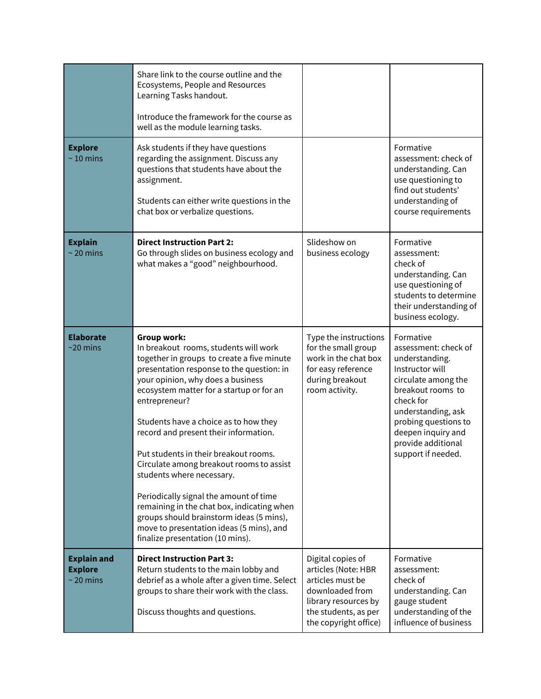|                                                        | Share link to the course outline and the<br>Ecosystems, People and Resources<br>Learning Tasks handout.<br>Introduce the framework for the course as<br>well as the module learning tasks.                                                                                                                                                                                                                                                                                                                                                                                                                                                                                |                                                                                                                                                          |                                                                                                                                                                                                                                                 |
|--------------------------------------------------------|---------------------------------------------------------------------------------------------------------------------------------------------------------------------------------------------------------------------------------------------------------------------------------------------------------------------------------------------------------------------------------------------------------------------------------------------------------------------------------------------------------------------------------------------------------------------------------------------------------------------------------------------------------------------------|----------------------------------------------------------------------------------------------------------------------------------------------------------|-------------------------------------------------------------------------------------------------------------------------------------------------------------------------------------------------------------------------------------------------|
| <b>Explore</b><br>$\sim$ 10 mins                       | Ask students if they have questions<br>regarding the assignment. Discuss any<br>questions that students have about the<br>assignment.<br>Students can either write questions in the<br>chat box or verbalize questions.                                                                                                                                                                                                                                                                                                                                                                                                                                                   |                                                                                                                                                          | Formative<br>assessment: check of<br>understanding. Can<br>use questioning to<br>find out students'<br>understanding of<br>course requirements                                                                                                  |
| <b>Explain</b><br>$\sim$ 20 mins                       | <b>Direct Instruction Part 2:</b><br>Go through slides on business ecology and<br>what makes a "good" neighbourhood.                                                                                                                                                                                                                                                                                                                                                                                                                                                                                                                                                      | Slideshow on<br>business ecology                                                                                                                         | Formative<br>assessment:<br>check of<br>understanding. Can<br>use questioning of<br>students to determine<br>their understanding of<br>business ecology.                                                                                        |
| <b>Elaborate</b><br>$\sim$ 20 mins                     | Group work:<br>In breakout rooms, students will work<br>together in groups to create a five minute<br>presentation response to the question: in<br>your opinion, why does a business<br>ecosystem matter for a startup or for an<br>entrepreneur?<br>Students have a choice as to how they<br>record and present their information.<br>Put students in their breakout rooms.<br>Circulate among breakout rooms to assist<br>students where necessary.<br>Periodically signal the amount of time<br>remaining in the chat box, indicating when<br>groups should brainstorm ideas (5 mins),<br>move to presentation ideas (5 mins), and<br>finalize presentation (10 mins). | Type the instructions<br>for the small group<br>work in the chat box<br>for easy reference<br>during breakout<br>room activity.                          | Formative<br>assessment: check of<br>understanding.<br>Instructor will<br>circulate among the<br>breakout rooms to<br>check for<br>understanding, ask<br>probing questions to<br>deepen inquiry and<br>provide additional<br>support if needed. |
| <b>Explain and</b><br><b>Explore</b><br>$\sim$ 20 mins | <b>Direct Instruction Part 3:</b><br>Return students to the main lobby and<br>debrief as a whole after a given time. Select<br>groups to share their work with the class.<br>Discuss thoughts and questions.                                                                                                                                                                                                                                                                                                                                                                                                                                                              | Digital copies of<br>articles (Note: HBR<br>articles must be<br>downloaded from<br>library resources by<br>the students, as per<br>the copyright office) | Formative<br>assessment:<br>check of<br>understanding. Can<br>gauge student<br>understanding of the<br>influence of business                                                                                                                    |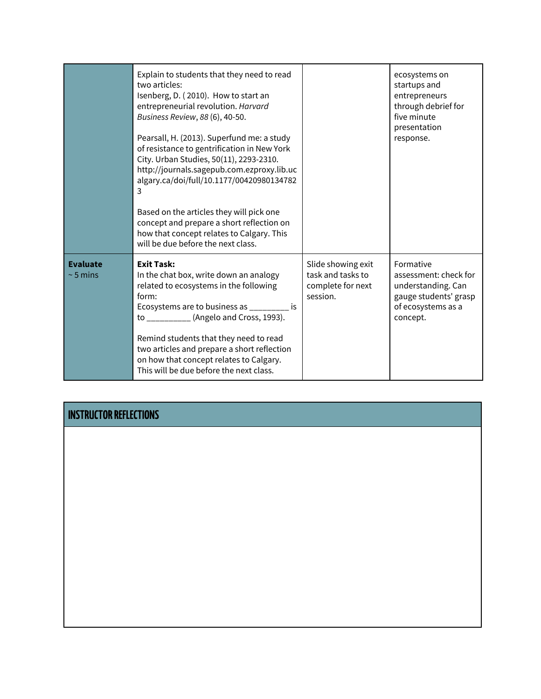|                                  | Explain to students that they need to read<br>two articles:<br>Isenberg, D. (2010). How to start an<br>entrepreneurial revolution. Harvard<br>Business Review, 88 (6), 40-50.<br>Pearsall, H. (2013). Superfund me: a study<br>of resistance to gentrification in New York<br>City. Urban Studies, 50(11), 2293-2310.<br>http://journals.sagepub.com.ezproxy.lib.uc<br>algary.ca/doi/full/10.1177/00420980134782<br>3<br>Based on the articles they will pick one<br>concept and prepare a short reflection on<br>how that concept relates to Calgary. This<br>will be due before the next class. |                                                                          | ecosystems on<br>startups and<br>entrepreneurs<br>through debrief for<br>five minute<br>presentation<br>response.   |
|----------------------------------|---------------------------------------------------------------------------------------------------------------------------------------------------------------------------------------------------------------------------------------------------------------------------------------------------------------------------------------------------------------------------------------------------------------------------------------------------------------------------------------------------------------------------------------------------------------------------------------------------|--------------------------------------------------------------------------|---------------------------------------------------------------------------------------------------------------------|
| <b>Evaluate</b><br>$\sim$ 5 mins | <b>Exit Task:</b><br>In the chat box, write down an analogy<br>related to ecosystems in the following<br>form:<br>Ecosystems are to business as _________ is<br>to ___________ (Angelo and Cross, 1993).<br>Remind students that they need to read<br>two articles and prepare a short reflection<br>on how that concept relates to Calgary.<br>This will be due before the next class.                                                                                                                                                                                                           | Slide showing exit<br>task and tasks to<br>complete for next<br>session. | Formative<br>assessment: check for<br>understanding. Can<br>gauge students' grasp<br>of ecosystems as a<br>concept. |

### **INSTRUCTOR REFLECTIONS**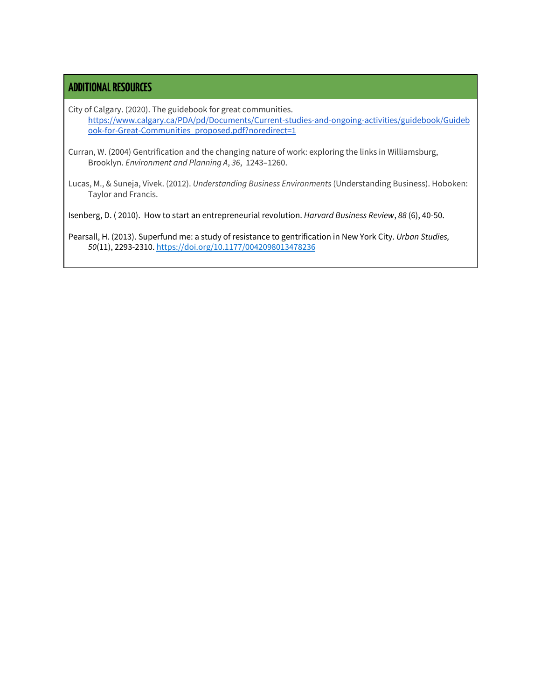#### **ADDITIONALRESOURCES**

City of Calgary. (2020). The guidebook for great communities. [https://www.calgary.ca/PDA/pd/Documents/Current-studies-and-ongoing-activities/guidebook/Guideb](https://www.calgary.ca/PDA/pd/Documents/Current-studies-and-ongoing-activities/guidebook/Guidebook-for-Great-Communities_proposed.pdf?noredirect=1) [ook-for-Great-Communities\\_proposed.pdf?noredirect=1](https://www.calgary.ca/PDA/pd/Documents/Current-studies-and-ongoing-activities/guidebook/Guidebook-for-Great-Communities_proposed.pdf?noredirect=1)

Curran, W. (2004) Gentrification and the changing nature of work: exploring the links in Williamsburg, Brooklyn. *Environment and Planning A*, *36*, 1243–1260.

Lucas, M., & Suneja, Vivek. (2012). *Understanding Business Environments* (Understanding Business). Hoboken: Taylor and Francis.

Isenberg, D. ( 2010). How to start an entrepreneurial revolution. *Harvard Business Review*, *88* (6), 40-50.

Pearsall, H. (2013). Superfund me: a study of resistance to gentrification in New York City. *Urban Studies, 50*(11), 2293-2310. [https://doi.org/10.1177/0042098013478236](https://doi.org/10.1177%2F0042098013478236)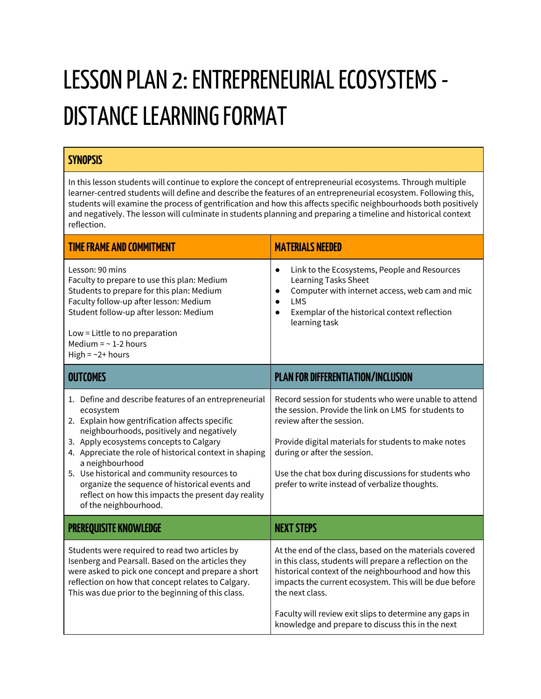## LESSON PLAN 2: ENTREPRENEURIAL ECOSYSTEMS -DISTANCE LEARNING FORMAT

### **SYNOPSIS**

In this lesson students will continue to explore the concept of entrepreneurial ecosystems. Through multiple learner-centred students will define and describe the features of an entrepreneurial ecosystem. Following this, students will examine the process of gentrification and how this affects specific neighbourhoods both positively and negatively. The lesson will culminate in students planning and preparing a timeline and historical context reflection.

| <b>TIME FRAME AND COMMITMENT</b>                                                                                                                                                                                                                                                                                                                                                                                                                                             | <b>MATERIALS NEEDED</b>                                                                                                                                                                                                                                                                                                                                                  |
|------------------------------------------------------------------------------------------------------------------------------------------------------------------------------------------------------------------------------------------------------------------------------------------------------------------------------------------------------------------------------------------------------------------------------------------------------------------------------|--------------------------------------------------------------------------------------------------------------------------------------------------------------------------------------------------------------------------------------------------------------------------------------------------------------------------------------------------------------------------|
| Lesson: 90 mins<br>Faculty to prepare to use this plan: Medium<br>Students to prepare for this plan: Medium<br>Faculty follow-up after lesson: Medium<br>Student follow-up after lesson: Medium<br>Low = Little to no preparation<br>Medium = $\sim$ 1-2 hours<br>High = $\sim$ 2+ hours                                                                                                                                                                                     | Link to the Ecosystems, People and Resources<br>$\bullet$<br>Learning Tasks Sheet<br>Computer with internet access, web cam and mic<br>$\bullet$<br><b>LMS</b><br>$\bullet$<br>Exemplar of the historical context reflection<br>$\bullet$<br>learning task                                                                                                               |
| <b>OUTCOMES</b>                                                                                                                                                                                                                                                                                                                                                                                                                                                              | <b>PLAN FOR DIFFERENTIATION/INCLUSION</b>                                                                                                                                                                                                                                                                                                                                |
| 1. Define and describe features of an entrepreneurial<br>ecosystem<br>2. Explain how gentrification affects specific<br>neighbourhoods, positively and negatively<br>3. Apply ecosystems concepts to Calgary<br>4. Appreciate the role of historical context in shaping<br>a neighbourhood<br>5. Use historical and community resources to<br>organize the sequence of historical events and<br>reflect on how this impacts the present day reality<br>of the neighbourhood. | Record session for students who were unable to attend<br>the session. Provide the link on LMS for students to<br>review after the session.<br>Provide digital materials for students to make notes<br>during or after the session.<br>Use the chat box during discussions for students who<br>prefer to write instead of verbalize thoughts.                             |
| <b>PREREQUISITE KNOWLEDGE</b>                                                                                                                                                                                                                                                                                                                                                                                                                                                | <b>NEXT STEPS</b>                                                                                                                                                                                                                                                                                                                                                        |
| Students were required to read two articles by<br>Isenberg and Pearsall. Based on the articles they<br>were asked to pick one concept and prepare a short<br>reflection on how that concept relates to Calgary.<br>This was due prior to the beginning of this class.                                                                                                                                                                                                        | At the end of the class, based on the materials covered<br>in this class, students will prepare a reflection on the<br>historical context of the neighbourhood and how this<br>impacts the current ecosystem. This will be due before<br>the next class.<br>Faculty will review exit slips to determine any gaps in<br>knowledge and prepare to discuss this in the next |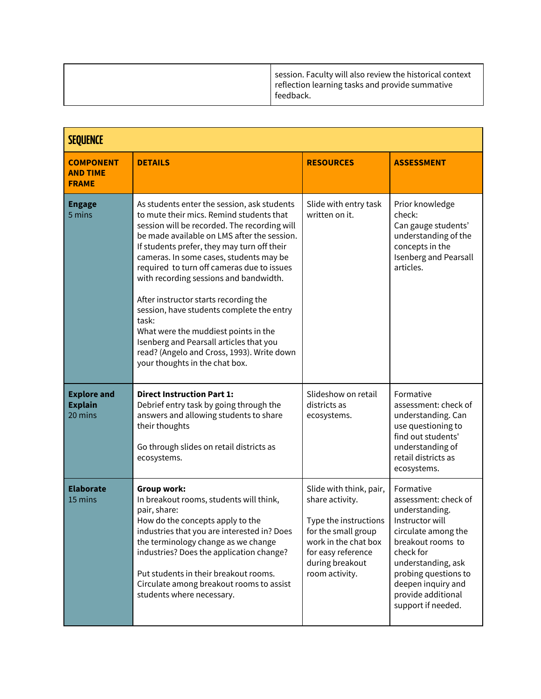|  | session. Faculty will also review the historical context<br>reflection learning tasks and provide summative<br>feedback. |
|--|--------------------------------------------------------------------------------------------------------------------------|
|--|--------------------------------------------------------------------------------------------------------------------------|

| <b>SEQUENCE</b>                                     |                                                                                                                                                                                                                                                                                                                                                                                                                                                                                                                                                                                                                                            |                                                                                                                                                                               |                                                                                                                                                                                                                                                 |  |  |
|-----------------------------------------------------|--------------------------------------------------------------------------------------------------------------------------------------------------------------------------------------------------------------------------------------------------------------------------------------------------------------------------------------------------------------------------------------------------------------------------------------------------------------------------------------------------------------------------------------------------------------------------------------------------------------------------------------------|-------------------------------------------------------------------------------------------------------------------------------------------------------------------------------|-------------------------------------------------------------------------------------------------------------------------------------------------------------------------------------------------------------------------------------------------|--|--|
| <b>COMPONENT</b><br><b>AND TIME</b><br><b>FRAME</b> | <b>DETAILS</b>                                                                                                                                                                                                                                                                                                                                                                                                                                                                                                                                                                                                                             | <b>RESOURCES</b>                                                                                                                                                              | <b>ASSESSMENT</b>                                                                                                                                                                                                                               |  |  |
| <b>Engage</b><br>5 mins                             | As students enter the session, ask students<br>to mute their mics. Remind students that<br>session will be recorded. The recording will<br>be made available on LMS after the session.<br>If students prefer, they may turn off their<br>cameras. In some cases, students may be<br>required to turn off cameras due to issues<br>with recording sessions and bandwidth.<br>After instructor starts recording the<br>session, have students complete the entry<br>task:<br>What were the muddiest points in the<br>Isenberg and Pearsall articles that you<br>read? (Angelo and Cross, 1993). Write down<br>your thoughts in the chat box. | Slide with entry task<br>written on it.                                                                                                                                       | Prior knowledge<br>check:<br>Can gauge students'<br>understanding of the<br>concepts in the<br>Isenberg and Pearsall<br>articles.                                                                                                               |  |  |
| <b>Explore and</b><br><b>Explain</b><br>20 mins     | <b>Direct Instruction Part 1:</b><br>Debrief entry task by going through the<br>answers and allowing students to share<br>their thoughts<br>Go through slides on retail districts as<br>ecosystems.                                                                                                                                                                                                                                                                                                                                                                                                                                        | Slideshow on retail<br>districts as<br>ecosystems.                                                                                                                            | Formative<br>assessment: check of<br>understanding. Can<br>use questioning to<br>find out students'<br>understanding of<br>retail districts as<br>ecosystems.                                                                                   |  |  |
| <b>Elaborate</b><br>15 mins                         | <b>Group work:</b><br>In breakout rooms, students will think,<br>pair, share:<br>How do the concepts apply to the<br>industries that you are interested in? Does<br>the terminology change as we change<br>industries? Does the application change?<br>Put students in their breakout rooms.<br>Circulate among breakout rooms to assist<br>students where necessary.                                                                                                                                                                                                                                                                      | Slide with think, pair,<br>share activity.<br>Type the instructions<br>for the small group<br>work in the chat box<br>for easy reference<br>during breakout<br>room activity. | Formative<br>assessment: check of<br>understanding.<br>Instructor will<br>circulate among the<br>breakout rooms to<br>check for<br>understanding, ask<br>probing questions to<br>deepen inquiry and<br>provide additional<br>support if needed. |  |  |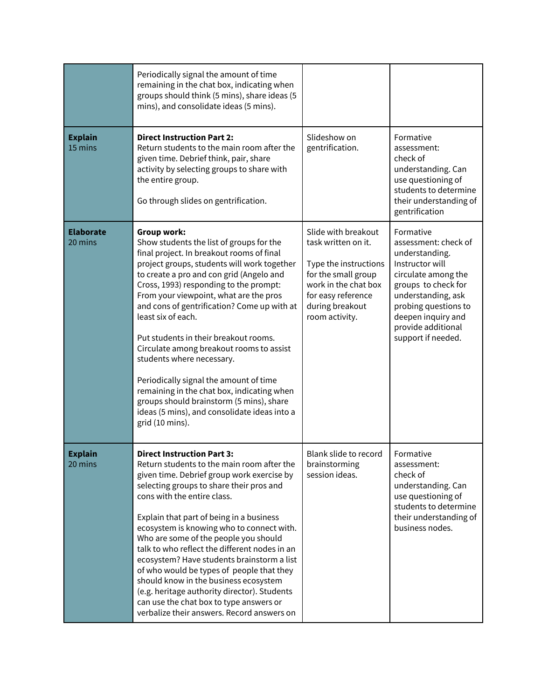|                             | Periodically signal the amount of time<br>remaining in the chat box, indicating when<br>groups should think (5 mins), share ideas (5<br>mins), and consolidate ideas (5 mins).                                                                                                                                                                                                                                                                                                                                                                                                                                                                                                           |                                                                                                                                                                               |                                                                                                                                                                                                                                      |
|-----------------------------|------------------------------------------------------------------------------------------------------------------------------------------------------------------------------------------------------------------------------------------------------------------------------------------------------------------------------------------------------------------------------------------------------------------------------------------------------------------------------------------------------------------------------------------------------------------------------------------------------------------------------------------------------------------------------------------|-------------------------------------------------------------------------------------------------------------------------------------------------------------------------------|--------------------------------------------------------------------------------------------------------------------------------------------------------------------------------------------------------------------------------------|
| <b>Explain</b><br>15 mins   | <b>Direct Instruction Part 2:</b><br>Return students to the main room after the<br>given time. Debrief think, pair, share<br>activity by selecting groups to share with<br>the entire group.<br>Go through slides on gentrification.                                                                                                                                                                                                                                                                                                                                                                                                                                                     | Slideshow on<br>gentrification.                                                                                                                                               | Formative<br>assessment:<br>check of<br>understanding. Can<br>use questioning of<br>students to determine<br>their understanding of<br>gentrification                                                                                |
| <b>Elaborate</b><br>20 mins | <b>Group work:</b><br>Show students the list of groups for the<br>final project. In breakout rooms of final<br>project groups, students will work together<br>to create a pro and con grid (Angelo and<br>Cross, 1993) responding to the prompt:<br>From your viewpoint, what are the pros<br>and cons of gentrification? Come up with at<br>least six of each.<br>Put students in their breakout rooms.<br>Circulate among breakout rooms to assist<br>students where necessary.<br>Periodically signal the amount of time<br>remaining in the chat box, indicating when<br>groups should brainstorm (5 mins), share<br>ideas (5 mins), and consolidate ideas into a<br>grid (10 mins). | Slide with breakout<br>task written on it.<br>Type the instructions<br>for the small group<br>work in the chat box<br>for easy reference<br>during breakout<br>room activity. | Formative<br>assessment: check of<br>understanding.<br>Instructor will<br>circulate among the<br>groups to check for<br>understanding, ask<br>probing questions to<br>deepen inquiry and<br>provide additional<br>support if needed. |
| <b>Explain</b><br>20 mins   | <b>Direct Instruction Part 3:</b><br>Return students to the main room after the<br>given time. Debrief group work exercise by<br>selecting groups to share their pros and<br>cons with the entire class.<br>Explain that part of being in a business<br>ecosystem is knowing who to connect with.<br>Who are some of the people you should<br>talk to who reflect the different nodes in an<br>ecosystem? Have students brainstorm a list<br>of who would be types of people that they<br>should know in the business ecosystem<br>(e.g. heritage authority director). Students<br>can use the chat box to type answers or<br>verbalize their answers. Record answers on                 | Blank slide to record<br>brainstorming<br>session ideas.                                                                                                                      | Formative<br>assessment:<br>check of<br>understanding. Can<br>use questioning of<br>students to determine<br>their understanding of<br>business nodes.                                                                               |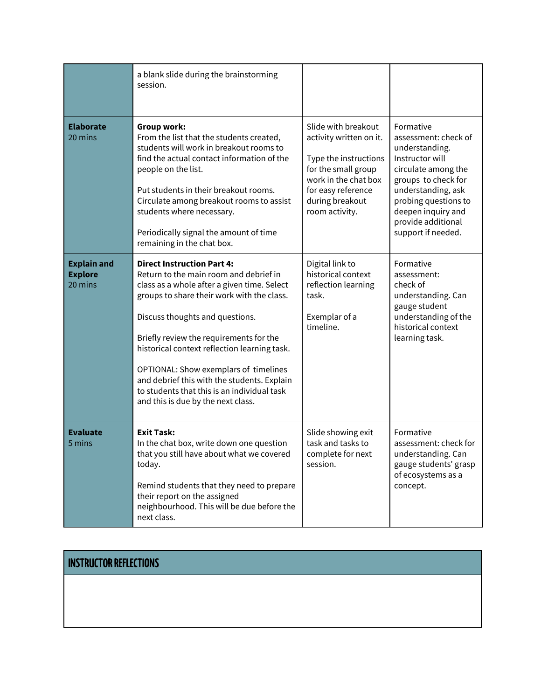|                                                 | a blank slide during the brainstorming<br>session.                                                                                                                                                                                                                                                                                                                                                                                                                                  |                                                                                                                                                                                   |                                                                                                                                                                                                                                      |
|-------------------------------------------------|-------------------------------------------------------------------------------------------------------------------------------------------------------------------------------------------------------------------------------------------------------------------------------------------------------------------------------------------------------------------------------------------------------------------------------------------------------------------------------------|-----------------------------------------------------------------------------------------------------------------------------------------------------------------------------------|--------------------------------------------------------------------------------------------------------------------------------------------------------------------------------------------------------------------------------------|
| <b>Elaborate</b><br>20 mins                     | <b>Group work:</b><br>From the list that the students created,<br>students will work in breakout rooms to<br>find the actual contact information of the<br>people on the list.<br>Put students in their breakout rooms.<br>Circulate among breakout rooms to assist<br>students where necessary.<br>Periodically signal the amount of time<br>remaining in the chat box.                                                                                                            | Slide with breakout<br>activity written on it.<br>Type the instructions<br>for the small group<br>work in the chat box<br>for easy reference<br>during breakout<br>room activity. | Formative<br>assessment: check of<br>understanding.<br>Instructor will<br>circulate among the<br>groups to check for<br>understanding, ask<br>probing questions to<br>deepen inquiry and<br>provide additional<br>support if needed. |
| <b>Explain and</b><br><b>Explore</b><br>20 mins | <b>Direct Instruction Part 4:</b><br>Return to the main room and debrief in<br>class as a whole after a given time. Select<br>groups to share their work with the class.<br>Discuss thoughts and questions.<br>Briefly review the requirements for the<br>historical context reflection learning task.<br>OPTIONAL: Show exemplars of timelines<br>and debrief this with the students. Explain<br>to students that this is an individual task<br>and this is due by the next class. | Digital link to<br>historical context<br>reflection learning<br>task.<br>Exemplar of a<br>timeline.                                                                               | Formative<br>assessment:<br>check of<br>understanding. Can<br>gauge student<br>understanding of the<br>historical context<br>learning task.                                                                                          |
| <b>Evaluate</b><br>5 mins                       | <b>Exit Task:</b><br>In the chat box, write down one question<br>that you still have about what we covered<br>today.<br>Remind students that they need to prepare<br>their report on the assigned<br>neighbourhood. This will be due before the<br>next class.                                                                                                                                                                                                                      | Slide showing exit<br>task and tasks to<br>complete for next<br>session.                                                                                                          | Formative<br>assessment: check for<br>understanding. Can<br>gauge students' grasp<br>of ecosystems as a<br>concept.                                                                                                                  |

## **INSTRUCTOR REFLECTIONS**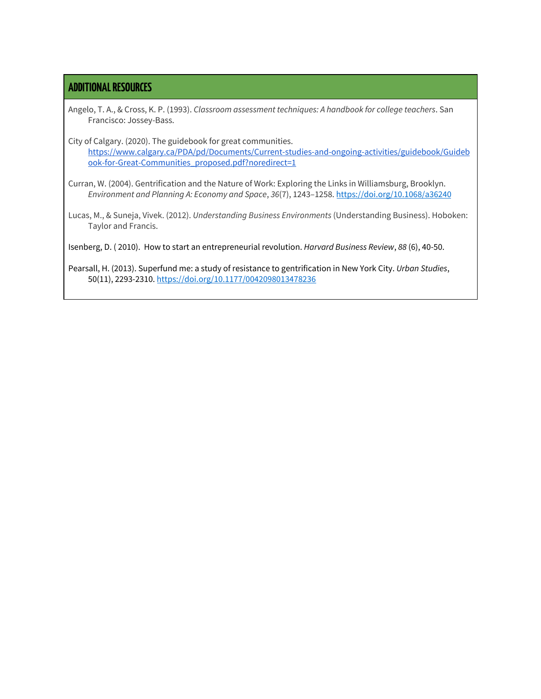#### **ADDITIONALRESOURCES**

Angelo, T. A., & Cross, K. P. (1993). *Classroom assessment techniques: A handbook for college teachers*. San Francisco: Jossey-Bass.

City of Calgary. (2020). The guidebook for great communities. [https://www.calgary.ca/PDA/pd/Documents/Current-studies-and-ongoing-activities/guidebook/Guideb](https://www.calgary.ca/PDA/pd/Documents/Current-studies-and-ongoing-activities/guidebook/Guidebook-for-Great-Communities_proposed.pdf?noredirect=1) [ook-for-Great-Communities\\_proposed.pdf?noredirect=1](https://www.calgary.ca/PDA/pd/Documents/Current-studies-and-ongoing-activities/guidebook/Guidebook-for-Great-Communities_proposed.pdf?noredirect=1)

Curran, W. (2004). Gentrification and the Nature of Work: Exploring the Links in Williamsburg, Brooklyn. *Environment and Planning A: Economy and Space*, *36*(7), 1243–1258. <https://doi.org/10.1068/a36240>

Lucas, M., & Suneja, Vivek. (2012). *Understanding Business Environments* (Understanding Business). Hoboken: Taylor and Francis.

Isenberg, D. ( 2010). How to start an entrepreneurial revolution. *Harvard Business Review*, *88* (6), 40-50.

Pearsall, H. (2013). Superfund me: a study of resistance to gentrification in New York City. *Urban Studies*, 50(11), 2293-2310. [https://doi.org/10.1177/0042098013478236](https://doi.org/10.1177%2F0042098013478236)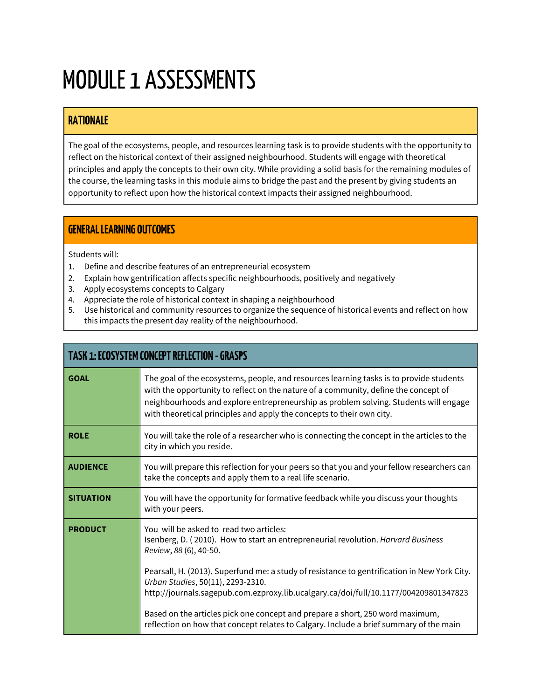## MODULE 1 ASSESSMENTS

### **RATIONALE**

The goal of the ecosystems, people, and resources learning task is to provide students with the opportunity to reflect on the historical context of their assigned neighbourhood. Students will engage with theoretical principles and apply the concepts to their own city. While providing a solid basis for the remaining modules of the course, the learning tasks in this module aims to bridge the past and the present by giving students an opportunity to reflect upon how the historical context impacts their assigned neighbourhood.

### **GENERALLEARNING OUTCOMES**

Students will:

- 1. Define and describe features of an entrepreneurial ecosystem
- 2. Explain how gentrification affects specific neighbourhoods, positively and negatively
- 3. Apply ecosystems concepts to Calgary
- 4. Appreciate the role of historical context in shaping a neighbourhood
- 5. Use historical and community resources to organize the sequence of historical events and reflect on how this impacts the present day reality of the neighbourhood.

|                  | <b>TASK 1: ECOSYSTEM CONCEPT REFLECTION - GRASPS</b>                                                                                                                                                                                                                                                                                            |  |  |  |
|------------------|-------------------------------------------------------------------------------------------------------------------------------------------------------------------------------------------------------------------------------------------------------------------------------------------------------------------------------------------------|--|--|--|
| <b>GOAL</b>      | The goal of the ecosystems, people, and resources learning tasks is to provide students<br>with the opportunity to reflect on the nature of a community, define the concept of<br>neighbourhoods and explore entrepreneurship as problem solving. Students will engage<br>with theoretical principles and apply the concepts to their own city. |  |  |  |
| <b>ROLE</b>      | You will take the role of a researcher who is connecting the concept in the articles to the<br>city in which you reside.                                                                                                                                                                                                                        |  |  |  |
| <b>AUDIENCE</b>  | You will prepare this reflection for your peers so that you and your fellow researchers can<br>take the concepts and apply them to a real life scenario.                                                                                                                                                                                        |  |  |  |
| <b>SITUATION</b> | You will have the opportunity for formative feedback while you discuss your thoughts<br>with your peers.                                                                                                                                                                                                                                        |  |  |  |
| <b>PRODUCT</b>   | You will be asked to read two articles:<br>Isenberg, D. (2010). How to start an entrepreneurial revolution. Harvard Business<br>Review, 88 (6), 40-50.                                                                                                                                                                                          |  |  |  |
|                  | Pearsall, H. (2013). Superfund me: a study of resistance to gentrification in New York City.<br>Urban Studies, 50(11), 2293-2310.<br>http://journals.sagepub.com.ezproxy.lib.ucalgary.ca/doi/full/10.1177/004209801347823                                                                                                                       |  |  |  |
|                  | Based on the articles pick one concept and prepare a short, 250 word maximum,<br>reflection on how that concept relates to Calgary. Include a brief summary of the main                                                                                                                                                                         |  |  |  |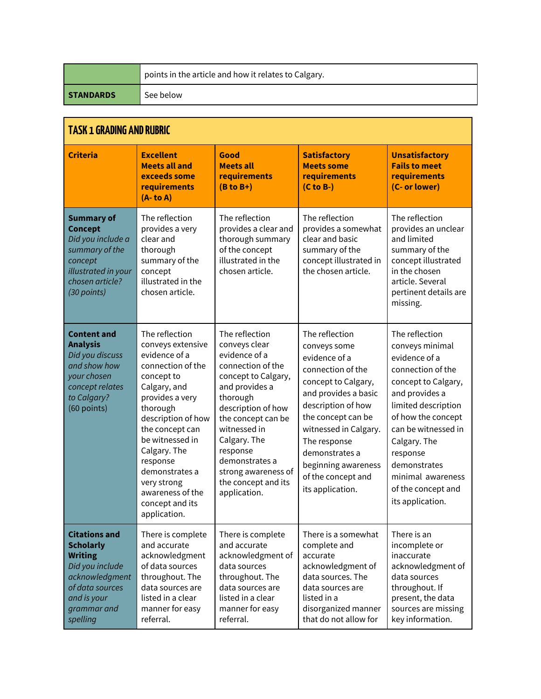|                  | points in the article and how it relates to Calgary. |
|------------------|------------------------------------------------------|
| <b>STANDARDS</b> | See below                                            |

| <b>TASK 1 GRADING AND RUBRIC</b>                                                                                                                             |                                                                                                                                                                                                                                                                                                                        |                                                                                                                                                                                                                                                                                                    |                                                                                                                                                                                                                                                                                             |                                                                                                                                                                                                                                                                                                 |
|--------------------------------------------------------------------------------------------------------------------------------------------------------------|------------------------------------------------------------------------------------------------------------------------------------------------------------------------------------------------------------------------------------------------------------------------------------------------------------------------|----------------------------------------------------------------------------------------------------------------------------------------------------------------------------------------------------------------------------------------------------------------------------------------------------|---------------------------------------------------------------------------------------------------------------------------------------------------------------------------------------------------------------------------------------------------------------------------------------------|-------------------------------------------------------------------------------------------------------------------------------------------------------------------------------------------------------------------------------------------------------------------------------------------------|
| <b>Criteria</b>                                                                                                                                              | <b>Excellent</b><br><b>Meets all and</b><br>exceeds some<br>requirements<br>$(A - to A)$                                                                                                                                                                                                                               | Good<br><b>Meets all</b><br>requirements<br>$(B to B+)$                                                                                                                                                                                                                                            | <b>Satisfactory</b><br><b>Meets some</b><br>requirements<br>$(C to B-)$                                                                                                                                                                                                                     | <b>Unsatisfactory</b><br><b>Fails to meet</b><br>requirements<br>(C- or lower)                                                                                                                                                                                                                  |
| <b>Summary of</b><br><b>Concept</b><br>Did you include a<br>summary of the<br>concept<br>illustrated in your<br>chosen article?<br>(30 points)               | The reflection<br>provides a very<br>clear and<br>thorough<br>summary of the<br>concept<br>illustrated in the<br>chosen article.                                                                                                                                                                                       | The reflection<br>provides a clear and<br>thorough summary<br>of the concept<br>illustrated in the<br>chosen article.                                                                                                                                                                              | The reflection<br>provides a somewhat<br>clear and basic<br>summary of the<br>concept illustrated in<br>the chosen article.                                                                                                                                                                 | The reflection<br>provides an unclear<br>and limited<br>summary of the<br>concept illustrated<br>in the chosen<br>article. Several<br>pertinent details are<br>missing.                                                                                                                         |
| <b>Content and</b><br><b>Analysis</b><br>Did you discuss<br>and show how<br>your chosen<br>concept relates<br>to Calgary?<br>(60 points)                     | The reflection<br>conveys extensive<br>evidence of a<br>connection of the<br>concept to<br>Calgary, and<br>provides a very<br>thorough<br>description of how<br>the concept can<br>be witnessed in<br>Calgary. The<br>response<br>demonstrates a<br>very strong<br>awareness of the<br>concept and its<br>application. | The reflection<br>conveys clear<br>evidence of a<br>connection of the<br>concept to Calgary,<br>and provides a<br>thorough<br>description of how<br>the concept can be<br>witnessed in<br>Calgary. The<br>response<br>demonstrates a<br>strong awareness of<br>the concept and its<br>application. | The reflection<br>conveys some<br>evidence of a<br>connection of the<br>concept to Calgary,<br>and provides a basic<br>description of how<br>the concept can be<br>witnessed in Calgary.<br>The response<br>demonstrates a<br>beginning awareness<br>of the concept and<br>its application. | The reflection<br>conveys minimal<br>evidence of a<br>connection of the<br>concept to Calgary,<br>and provides a<br>limited description<br>of how the concept<br>can be witnessed in<br>Calgary. The<br>response<br>demonstrates<br>minimal awareness<br>of the concept and<br>its application. |
| <b>Citations and</b><br><b>Scholarly</b><br><b>Writing</b><br>Did you include<br>acknowledgment<br>of data sources<br>and is your<br>grammar and<br>spelling | There is complete<br>and accurate<br>acknowledgment<br>of data sources<br>throughout. The<br>data sources are<br>listed in a clear<br>manner for easy<br>referral.                                                                                                                                                     | There is complete<br>and accurate<br>acknowledgment of<br>data sources<br>throughout. The<br>data sources are<br>listed in a clear<br>manner for easy<br>referral.                                                                                                                                 | There is a somewhat<br>complete and<br>accurate<br>acknowledgment of<br>data sources. The<br>data sources are<br>listed in a<br>disorganized manner<br>that do not allow for                                                                                                                | There is an<br>incomplete or<br>inaccurate<br>acknowledgment of<br>data sources<br>throughout. If<br>present, the data<br>sources are missing<br>key information.                                                                                                                               |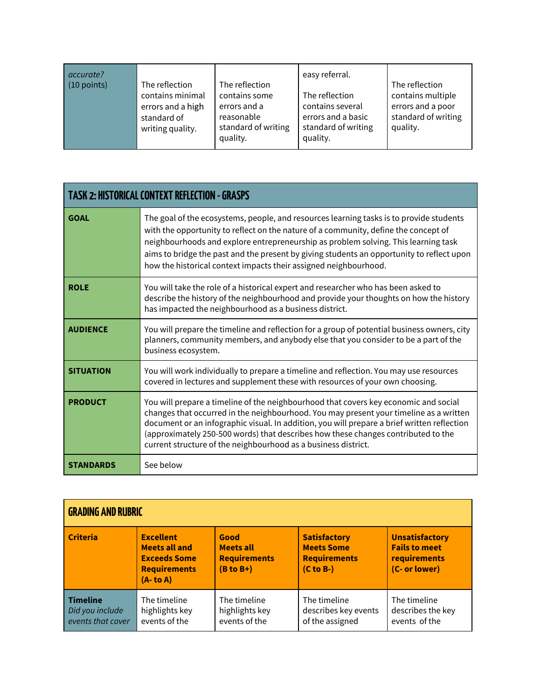| accurate?<br>$(10$ points)<br>The reflection<br>contains minimal<br>errors and a high<br>standard of<br>writing quality. | The reflection<br>contains some<br>errors and a<br>reasonable<br>standard of writing<br>quality. | easy referral.<br>The reflection<br>contains several<br>errors and a basic<br>standard of writing<br>quality. | The reflection<br>contains multiple<br>errors and a poor<br>standard of writing<br>quality. |
|--------------------------------------------------------------------------------------------------------------------------|--------------------------------------------------------------------------------------------------|---------------------------------------------------------------------------------------------------------------|---------------------------------------------------------------------------------------------|
|--------------------------------------------------------------------------------------------------------------------------|--------------------------------------------------------------------------------------------------|---------------------------------------------------------------------------------------------------------------|---------------------------------------------------------------------------------------------|

|                  | <b>TASK 2: HISTORICAL CONTEXT REFLECTION - GRASPS</b>                                                                                                                                                                                                                                                                                                                                                                                 |  |  |  |
|------------------|---------------------------------------------------------------------------------------------------------------------------------------------------------------------------------------------------------------------------------------------------------------------------------------------------------------------------------------------------------------------------------------------------------------------------------------|--|--|--|
| <b>GOAL</b>      | The goal of the ecosystems, people, and resources learning tasks is to provide students<br>with the opportunity to reflect on the nature of a community, define the concept of<br>neighbourhoods and explore entrepreneurship as problem solving. This learning task<br>aims to bridge the past and the present by giving students an opportunity to reflect upon<br>how the historical context impacts their assigned neighbourhood. |  |  |  |
| <b>ROLE</b>      | You will take the role of a historical expert and researcher who has been asked to<br>describe the history of the neighbourhood and provide your thoughts on how the history<br>has impacted the neighbourhood as a business district.                                                                                                                                                                                                |  |  |  |
| <b>AUDIENCE</b>  | You will prepare the timeline and reflection for a group of potential business owners, city<br>planners, community members, and anybody else that you consider to be a part of the<br>business ecosystem.                                                                                                                                                                                                                             |  |  |  |
| <b>SITUATION</b> | You will work individually to prepare a timeline and reflection. You may use resources<br>covered in lectures and supplement these with resources of your own choosing.                                                                                                                                                                                                                                                               |  |  |  |
| <b>PRODUCT</b>   | You will prepare a timeline of the neighbourhood that covers key economic and social<br>changes that occurred in the neighbourhood. You may present your timeline as a written<br>document or an infographic visual. In addition, you will prepare a brief written reflection<br>(approximately 250-500 words) that describes how these changes contributed to the<br>current structure of the neighbourhood as a business district.  |  |  |  |
| <b>STANDARDS</b> | See below                                                                                                                                                                                                                                                                                                                                                                                                                             |  |  |  |

| <b>GRADING AND RUBRIC</b>                               |                                                                                                     |                                                                |                                                                                         |                                                                                |
|---------------------------------------------------------|-----------------------------------------------------------------------------------------------------|----------------------------------------------------------------|-----------------------------------------------------------------------------------------|--------------------------------------------------------------------------------|
| <b>Criteria</b>                                         | <b>Excellent</b><br><b>Meets all and</b><br><b>Exceeds Some</b><br><b>Requirements</b><br>(A- to A) | Good<br><b>Meets all</b><br><b>Requirements</b><br>$(B to B+)$ | <b>Satisfactory</b><br><b>Meets Some</b><br><b>Requirements</b><br>$(C \text{ to } B-)$ | <b>Unsatisfactory</b><br><b>Fails to meet</b><br>requirements<br>(C- or lower) |
| <b>Timeline</b><br>Did you include<br>events that cover | The timeline<br>highlights key<br>events of the                                                     | The timeline<br>highlights key<br>events of the                | The timeline<br>describes key events<br>of the assigned                                 | The timeline<br>describes the key<br>events of the                             |